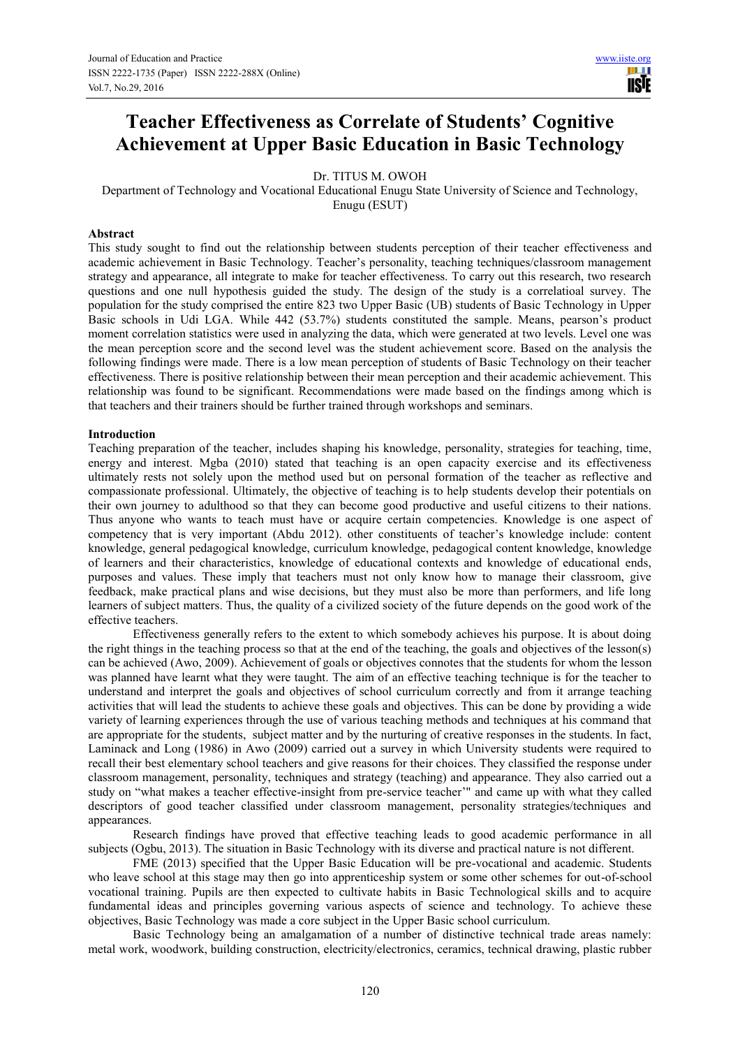# **Teacher Effectiveness as Correlate of Students' Cognitive Achievement at Upper Basic Education in Basic Technology**

Dr. TITUS M. OWOH

Department of Technology and Vocational Educational Enugu State University of Science and Technology, Enugu (ESUT)

# **Abstract**

This study sought to find out the relationship between students perception of their teacher effectiveness and academic achievement in Basic Technology. Teacher's personality, teaching techniques/classroom management strategy and appearance, all integrate to make for teacher effectiveness. To carry out this research, two research questions and one null hypothesis guided the study. The design of the study is a correlatioal survey. The population for the study comprised the entire 823 two Upper Basic (UB) students of Basic Technology in Upper Basic schools in Udi LGA. While 442 (53.7%) students constituted the sample. Means, pearson's product moment correlation statistics were used in analyzing the data, which were generated at two levels. Level one was the mean perception score and the second level was the student achievement score. Based on the analysis the following findings were made. There is a low mean perception of students of Basic Technology on their teacher effectiveness. There is positive relationship between their mean perception and their academic achievement. This relationship was found to be significant. Recommendations were made based on the findings among which is that teachers and their trainers should be further trained through workshops and seminars.

#### **Introduction**

Teaching preparation of the teacher, includes shaping his knowledge, personality, strategies for teaching, time, energy and interest. Mgba (2010) stated that teaching is an open capacity exercise and its effectiveness ultimately rests not solely upon the method used but on personal formation of the teacher as reflective and compassionate professional. Ultimately, the objective of teaching is to help students develop their potentials on their own journey to adulthood so that they can become good productive and useful citizens to their nations. Thus anyone who wants to teach must have or acquire certain competencies. Knowledge is one aspect of competency that is very important (Abdu 2012). other constituents of teacher's knowledge include: content knowledge, general pedagogical knowledge, curriculum knowledge, pedagogical content knowledge, knowledge of learners and their characteristics, knowledge of educational contexts and knowledge of educational ends, purposes and values. These imply that teachers must not only know how to manage their classroom, give feedback, make practical plans and wise decisions, but they must also be more than performers, and life long learners of subject matters. Thus, the quality of a civilized society of the future depends on the good work of the effective teachers.

Effectiveness generally refers to the extent to which somebody achieves his purpose. It is about doing the right things in the teaching process so that at the end of the teaching, the goals and objectives of the lesson(s) can be achieved (Awo, 2009). Achievement of goals or objectives connotes that the students for whom the lesson was planned have learnt what they were taught. The aim of an effective teaching technique is for the teacher to understand and interpret the goals and objectives of school curriculum correctly and from it arrange teaching activities that will lead the students to achieve these goals and objectives. This can be done by providing a wide variety of learning experiences through the use of various teaching methods and techniques at his command that are appropriate for the students, subject matter and by the nurturing of creative responses in the students. In fact, Laminack and Long (1986) in Awo (2009) carried out a survey in which University students were required to recall their best elementary school teachers and give reasons for their choices. They classified the response under classroom management, personality, techniques and strategy (teaching) and appearance. They also carried out a study on "what makes a teacher effective-insight from pre-service teacher'" and came up with what they called descriptors of good teacher classified under classroom management, personality strategies/techniques and appearances.

 Research findings have proved that effective teaching leads to good academic performance in all subjects (Ogbu, 2013). The situation in Basic Technology with its diverse and practical nature is not different.

 FME (2013) specified that the Upper Basic Education will be pre-vocational and academic. Students who leave school at this stage may then go into apprenticeship system or some other schemes for out-of-school vocational training. Pupils are then expected to cultivate habits in Basic Technological skills and to acquire fundamental ideas and principles governing various aspects of science and technology. To achieve these objectives, Basic Technology was made a core subject in the Upper Basic school curriculum.

 Basic Technology being an amalgamation of a number of distinctive technical trade areas namely: metal work, woodwork, building construction, electricity/electronics, ceramics, technical drawing, plastic rubber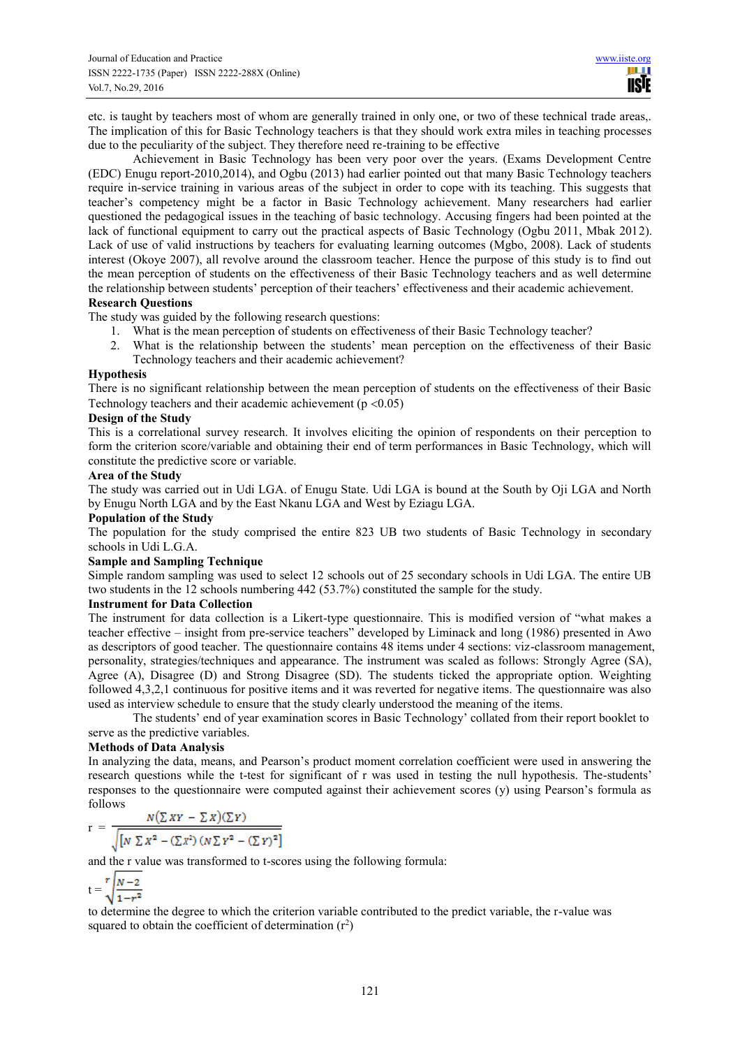etc. is taught by teachers most of whom are generally trained in only one, or two of these technical trade areas,. The implication of this for Basic Technology teachers is that they should work extra miles in teaching processes due to the peculiarity of the subject. They therefore need re-training to be effective

 Achievement in Basic Technology has been very poor over the years. (Exams Development Centre (EDC) Enugu report-2010,2014), and Ogbu (2013) had earlier pointed out that many Basic Technology teachers require in-service training in various areas of the subject in order to cope with its teaching. This suggests that teacher's competency might be a factor in Basic Technology achievement. Many researchers had earlier questioned the pedagogical issues in the teaching of basic technology. Accusing fingers had been pointed at the lack of functional equipment to carry out the practical aspects of Basic Technology (Ogbu 2011, Mbak 2012). Lack of use of valid instructions by teachers for evaluating learning outcomes (Mgbo, 2008). Lack of students interest (Okoye 2007), all revolve around the classroom teacher. Hence the purpose of this study is to find out the mean perception of students on the effectiveness of their Basic Technology teachers and as well determine the relationship between students' perception of their teachers' effectiveness and their academic achievement.

## **Research Questions**

The study was guided by the following research questions:

- 1. What is the mean perception of students on effectiveness of their Basic Technology teacher?
- 2. What is the relationship between the students' mean perception on the effectiveness of their Basic
	- Technology teachers and their academic achievement?

### **Hypothesis**

There is no significant relationship between the mean perception of students on the effectiveness of their Basic Technology teachers and their academic achievement ( $p < 0.05$ )

#### **Design of the Study**

This is a correlational survey research. It involves eliciting the opinion of respondents on their perception to form the criterion score/variable and obtaining their end of term performances in Basic Technology, which will constitute the predictive score or variable.

## **Area of the Study**

The study was carried out in Udi LGA. of Enugu State. Udi LGA is bound at the South by Oji LGA and North by Enugu North LGA and by the East Nkanu LGA and West by Eziagu LGA.

# **Population of the Study**

The population for the study comprised the entire 823 UB two students of Basic Technology in secondary schools in Udi L.G.A.

# **Sample and Sampling Technique**

Simple random sampling was used to select 12 schools out of 25 secondary schools in Udi LGA. The entire UB two students in the 12 schools numbering 442 (53.7%) constituted the sample for the study.

# **Instrument for Data Collection**

The instrument for data collection is a Likert-type questionnaire. This is modified version of "what makes a teacher effective – insight from pre-service teachers" developed by Liminack and long (1986) presented in Awo as descriptors of good teacher. The questionnaire contains 48 items under 4 sections: viz-classroom management, personality, strategies/techniques and appearance. The instrument was scaled as follows: Strongly Agree (SA), Agree (A), Disagree (D) and Strong Disagree (SD). The students ticked the appropriate option. Weighting followed 4,3,2,1 continuous for positive items and it was reverted for negative items. The questionnaire was also used as interview schedule to ensure that the study clearly understood the meaning of the items.

The students' end of year examination scores in Basic Technology' collated from their report booklet to serve as the predictive variables.

# **Methods of Data Analysis**

In analyzing the data, means, and Pearson's product moment correlation coefficient were used in answering the research questions while the t-test for significant of r was used in testing the null hypothesis. The-students' responses to the questionnaire were computed against their achievement scores (y) using Pearson's formula as follows

$$
r = \frac{N(\sum XY - \sum X)(\sum Y)}{\sqrt{[N \sum X^2 - (\sum X^2) (N \sum Y^2 - (\sum Y)^2]}}
$$

and the r value was transformed to t-scores using the following formula:

$$
t = \sqrt[r]{\frac{N-2}{1-r^2}}
$$

to determine the degree to which the criterion variable contributed to the predict variable, the r-value was squared to obtain the coefficient of determination  $(r^2)$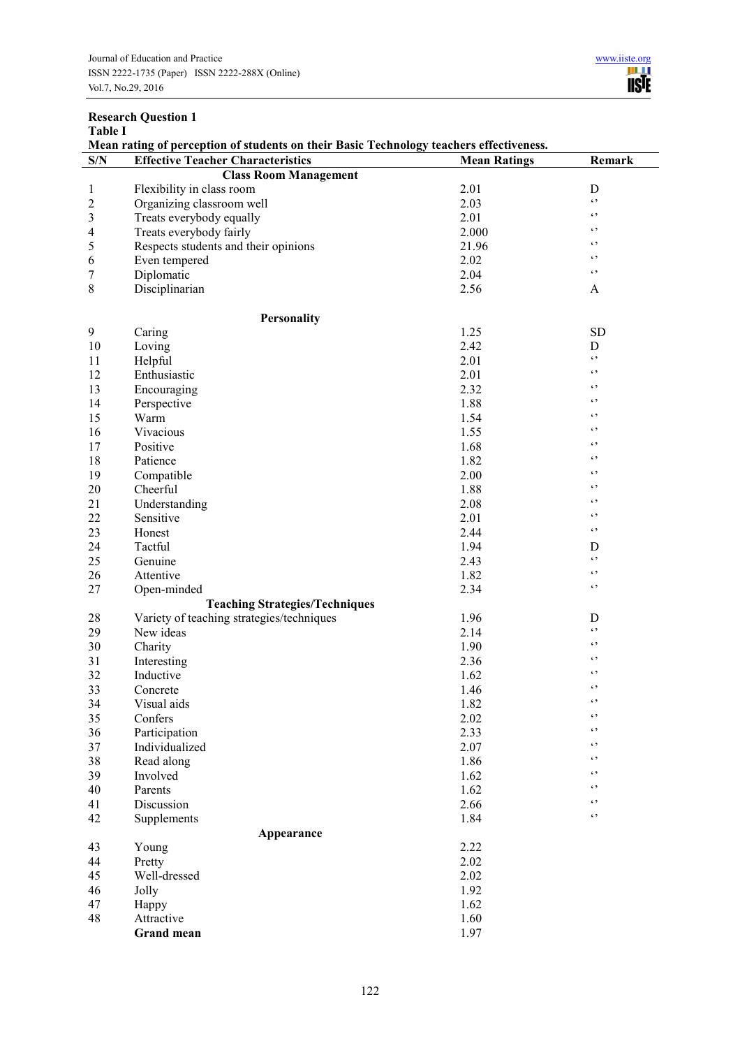| <b>Table I</b><br>Mean rating of perception of students on their Basic Technology teachers effectiveness. |                                           |                     |              |  |  |  |  |
|-----------------------------------------------------------------------------------------------------------|-------------------------------------------|---------------------|--------------|--|--|--|--|
| S/N                                                                                                       | <b>Effective Teacher Characteristics</b>  | <b>Mean Ratings</b> | Remark       |  |  |  |  |
|                                                                                                           | <b>Class Room Management</b>              |                     |              |  |  |  |  |
| $\mathbf{1}$                                                                                              | Flexibility in class room                 | 2.01                | $\mathbf D$  |  |  |  |  |
| $\overline{c}$                                                                                            | Organizing classroom well                 | 2.03                | $\epsilon$ , |  |  |  |  |
| $\overline{\mathbf{3}}$                                                                                   | Treats everybody equally                  | 2.01                | $\epsilon$ , |  |  |  |  |
| 4                                                                                                         | Treats everybody fairly                   | 2.000               | $\epsilon$   |  |  |  |  |
| 5                                                                                                         | Respects students and their opinions      | 21.96               | $\epsilon$   |  |  |  |  |
| 6                                                                                                         | Even tempered                             | 2.02                | $\epsilon$   |  |  |  |  |
| 7                                                                                                         | Diplomatic                                | 2.04                | $\epsilon$ , |  |  |  |  |
| $8\,$                                                                                                     | Disciplinarian                            | 2.56                | A            |  |  |  |  |
|                                                                                                           | <b>Personality</b>                        |                     |              |  |  |  |  |
| 9                                                                                                         | Caring                                    | 1.25                | SD           |  |  |  |  |
| 10                                                                                                        | Loving                                    | 2.42                | D            |  |  |  |  |
| 11                                                                                                        | Helpful                                   | 2.01                | $\epsilon$ , |  |  |  |  |
| 12                                                                                                        | Enthusiastic                              | 2.01                | $\epsilon$ , |  |  |  |  |
| 13                                                                                                        | Encouraging                               | 2.32                | $\epsilon$   |  |  |  |  |
| 14                                                                                                        | Perspective                               | 1.88                | $\epsilon$   |  |  |  |  |
| 15                                                                                                        | Warm                                      | 1.54                | $\epsilon$   |  |  |  |  |
| 16                                                                                                        | Vivacious                                 | 1.55                | $\epsilon$   |  |  |  |  |
| 17                                                                                                        | Positive                                  | 1.68                | $\epsilon$   |  |  |  |  |
| 18                                                                                                        | Patience                                  | 1.82                | $\epsilon$   |  |  |  |  |
| 19                                                                                                        | Compatible                                | 2.00                | $\epsilon$   |  |  |  |  |
| 20                                                                                                        | Cheerful                                  | 1.88                | $\epsilon$   |  |  |  |  |
| 21                                                                                                        | Understanding                             | 2.08                | $\epsilon$   |  |  |  |  |
| 22                                                                                                        | Sensitive                                 | 2.01                | $\epsilon$ , |  |  |  |  |
| 23                                                                                                        | Honest                                    | 2.44                | $\epsilon$ , |  |  |  |  |
| 24                                                                                                        | Tactful                                   | 1.94                | D            |  |  |  |  |
| 25                                                                                                        | Genuine                                   | 2.43                | $\epsilon$ , |  |  |  |  |
| 26                                                                                                        | Attentive                                 | 1.82                | $\epsilon$ , |  |  |  |  |
| 27                                                                                                        | Open-minded                               | 2.34                | $\epsilon$ , |  |  |  |  |
|                                                                                                           | <b>Teaching Strategies/Techniques</b>     |                     |              |  |  |  |  |
| 28                                                                                                        | Variety of teaching strategies/techniques | 1.96                | D            |  |  |  |  |
| 29                                                                                                        | New ideas                                 | 2.14                | $\epsilon$ , |  |  |  |  |
| 30                                                                                                        | Charity                                   | 1.90                | $\epsilon$ , |  |  |  |  |
| 31                                                                                                        | Interesting                               | 2.36                | $\epsilon$   |  |  |  |  |
| 32                                                                                                        | Inductive                                 | 1.62                | $\epsilon$ , |  |  |  |  |
| 33                                                                                                        | Concrete                                  | 1.46                | $\epsilon$ , |  |  |  |  |
| 34                                                                                                        | Visual aids                               | 1.82                | $\epsilon$ , |  |  |  |  |
| 35                                                                                                        | Confers                                   | 2.02                | $\epsilon$ , |  |  |  |  |
| 36                                                                                                        | Participation                             | 2.33                | $\epsilon$ , |  |  |  |  |
| 37                                                                                                        | Individualized                            | 2.07                | $\epsilon$   |  |  |  |  |
| 38                                                                                                        | Read along                                | 1.86                | $\epsilon$ , |  |  |  |  |
| 39                                                                                                        | Involved                                  | 1.62                | $\epsilon$ , |  |  |  |  |
| 40                                                                                                        | Parents                                   | 1.62                | $\epsilon$ , |  |  |  |  |
| 41                                                                                                        | Discussion                                | 2.66                | $\epsilon$ , |  |  |  |  |
| 42                                                                                                        | Supplements                               | 1.84                | $\epsilon$ , |  |  |  |  |
|                                                                                                           | Appearance                                |                     |              |  |  |  |  |
| 43                                                                                                        | Young                                     | 2.22                |              |  |  |  |  |
| 44                                                                                                        | Pretty                                    | 2.02                |              |  |  |  |  |
| 45                                                                                                        | Well-dressed                              | 2.02                |              |  |  |  |  |
| 46                                                                                                        | Jolly                                     | 1.92                |              |  |  |  |  |
| 47                                                                                                        | Happy                                     | 1.62                |              |  |  |  |  |
| 48                                                                                                        | Attractive                                | 1.60                |              |  |  |  |  |
|                                                                                                           | <b>Grand mean</b>                         | 1.97                |              |  |  |  |  |

# **Research Question 1**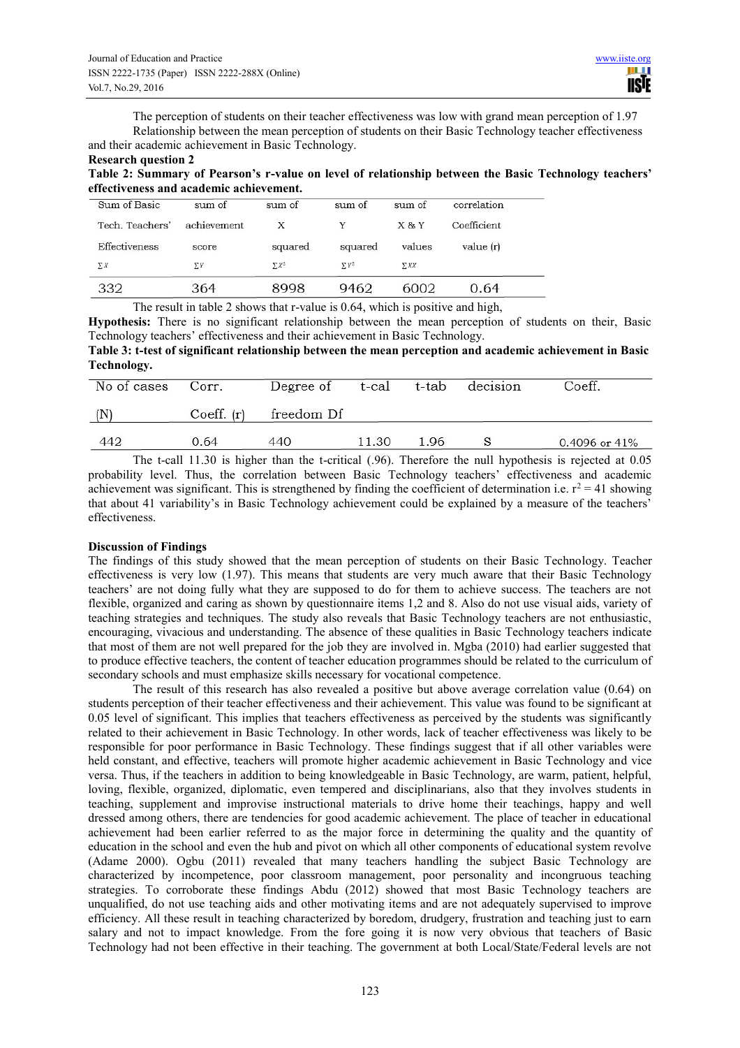The perception of students on their teacher effectiveness was low with grand mean perception of 1.97 Relationship between the mean perception of students on their Basic Technology teacher effectiveness and their academic achievement in Basic Technology.

# **Research question 2**

**Table 2: Summary of Pearson's r-value on level of relationship between the Basic Technology teachers' effectiveness and academic achievement.** 

| Sum of Basic    | sum of      | sum of       | sum of       | sum of     | correlation |
|-----------------|-------------|--------------|--------------|------------|-------------|
| Tech. Teachers' | achievement | X            | Y            | $X \& Y$   | Coefficient |
| Effectiveness   | score       | squared      | squared      | values     | value (r)   |
| $\Sigma X$      | $\Sigma Y$  | $\Sigma X^2$ | $\Sigma Y^2$ | <b>SXX</b> |             |
| 332             | 364         | 8998         | 9462         | 6002       | 0.64        |

The result in table 2 shows that r-value is 0.64, which is positive and high,

**Hypothesis:** There is no significant relationship between the mean perception of students on their, Basic Technology teachers' effectiveness and their achievement in Basic Technology.

**Table 3: t-test of significant relationship between the mean perception and academic achievement in Basic Technology.** 

| No of cases | Corr.      | Degree of  | t-cal | t-tab | decision | Coeff.             |
|-------------|------------|------------|-------|-------|----------|--------------------|
| (N)         | Coeff. (r) | freedom Df |       |       |          |                    |
| 442         | 0.64       | 440        | 11.30 | 1.96  |          | $0.4096$ or $41\%$ |

The t-call 11.30 is higher than the t-critical (.96). Therefore the null hypothesis is rejected at 0.05 probability level. Thus, the correlation between Basic Technology teachers' effectiveness and academic achievement was significant. This is strengthened by finding the coefficient of determination i.e.  $r^2 = 41$  showing that about 41 variability's in Basic Technology achievement could be explained by a measure of the teachers' effectiveness.

# **Discussion of Findings**

The findings of this study showed that the mean perception of students on their Basic Technology. Teacher effectiveness is very low (1.97). This means that students are very much aware that their Basic Technology teachers' are not doing fully what they are supposed to do for them to achieve success. The teachers are not flexible, organized and caring as shown by questionnaire items 1,2 and 8. Also do not use visual aids, variety of teaching strategies and techniques. The study also reveals that Basic Technology teachers are not enthusiastic, encouraging, vivacious and understanding. The absence of these qualities in Basic Technology teachers indicate that most of them are not well prepared for the job they are involved in. Mgba (2010) had earlier suggested that to produce effective teachers, the content of teacher education programmes should be related to the curriculum of secondary schools and must emphasize skills necessary for vocational competence.

 The result of this research has also revealed a positive but above average correlation value (0.64) on students perception of their teacher effectiveness and their achievement. This value was found to be significant at 0.05 level of significant. This implies that teachers effectiveness as perceived by the students was significantly related to their achievement in Basic Technology. In other words, lack of teacher effectiveness was likely to be responsible for poor performance in Basic Technology. These findings suggest that if all other variables were held constant, and effective, teachers will promote higher academic achievement in Basic Technology and vice versa. Thus, if the teachers in addition to being knowledgeable in Basic Technology, are warm, patient, helpful, loving, flexible, organized, diplomatic, even tempered and disciplinarians, also that they involves students in teaching, supplement and improvise instructional materials to drive home their teachings, happy and well dressed among others, there are tendencies for good academic achievement. The place of teacher in educational achievement had been earlier referred to as the major force in determining the quality and the quantity of education in the school and even the hub and pivot on which all other components of educational system revolve (Adame 2000). Ogbu (2011) revealed that many teachers handling the subject Basic Technology are characterized by incompetence, poor classroom management, poor personality and incongruous teaching strategies. To corroborate these findings Abdu (2012) showed that most Basic Technology teachers are unqualified, do not use teaching aids and other motivating items and are not adequately supervised to improve efficiency. All these result in teaching characterized by boredom, drudgery, frustration and teaching just to earn salary and not to impact knowledge. From the fore going it is now very obvious that teachers of Basic Technology had not been effective in their teaching. The government at both Local/State/Federal levels are not